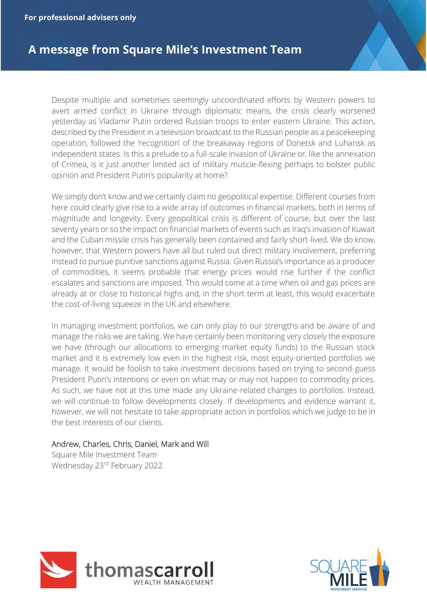**For professional advisers only**

## **A message from Square Mile's Investment Team**

Despite multiple and sometimes seemingly uncoordinated efforts by Western powers to avert armed conflict in Ukraine through diplomatic means, the crisis clearly worsened yesterday as Vladamir Putin ordered Russian troops to enter eastern Ukraine. This action, described by the President in a television broadcast to the Russian people as a peacekeeping operation, followed the 'recognition' of the breakaway regions of Donetsk and Luhansk as independent states. Is this a prelude to a full-scale invasion of Ukraine or, like the annexation of Crimea, is it just another limited act of military muscle-flexing perhaps to bolster public opinion and President Putin's popularity at home?

We simply don't know and we certainly claim no geopolitical expertise. Different courses from here could clearly give rise to a wide array of outcomes in financial markets, both in terms of magnitude and longevity. Every geopolitical crisis is different of course, but over the last seventy years or so the impact on financial markets of events such as Iraq's invasion of Kuwait and the Cuban missile crisis has generally been contained and fairly short-lived. We do know, however, that Western powers have all but ruled out direct military involvement, preferring instead to pursue punitive sanctions against Russia. Given Russia's importance as a producer of commodities, it seems probable that energy prices would rise further if the conflict escalates and sanctions are imposed. This would come at a time when oil and gas prices are already at or close to historical highs and, in the short term at least, this would exacerbate the cost-of-living squeeze in the UK and elsewhere.

In managing investment portfolios, we can only play to our strengths and be aware of and manage the risks we are taking. We have certainly been monitoring very closely the exposure we have (through our allocations to emerging market equity funds) to the Russian stock market and it is extremely low even in the highest risk, most equity-oriented portfolios we manage. It would be foolish to take investment decisions based on trying to second-guess President Putin's intentions or even on what may or may not happen to commodity prices. As such, we have not at this time made any Ukraine-related changes to portfolios. Instead, we will continue to follow developments closely. If developments and evidence warrant it, however, we will not hesitate to take appropriate action in portfolios which we judge to be in the best interests of our clients.

## Andrew, Charles, Chris, Daniel, Mark and Will

Square Mile Investment Team Wednesday 23rd February 2022